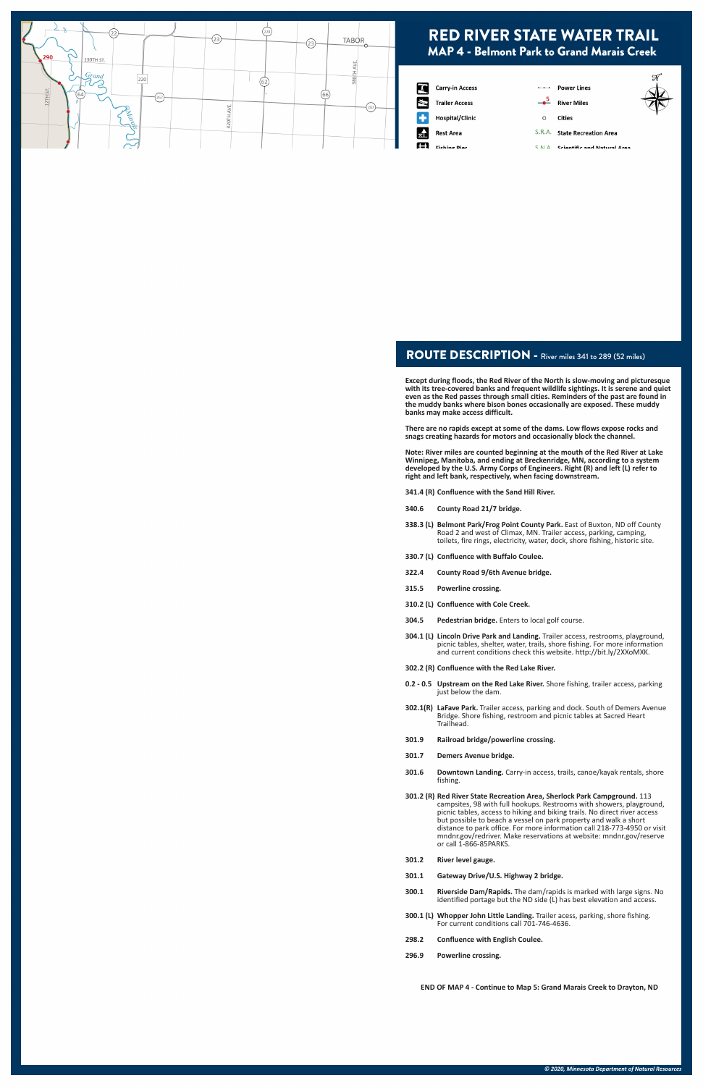#### ROUTE DESCRIPTION - River miles 341 to 289 (52 miles)

**Except during floods, the Red River of the North is slow-moving and picturesque with its tree-covered banks and frequent wildlife sightings. It is serene and quiet even as the Red passes through small cities. Reminders of the past are found in the muddy banks where bison bones occasionally are exposed. These muddy banks may make access difficult.** 

**There are no rapids except at some of the dams. Low flows expose rocks and snags creating hazards for motors and occasionally block the channel.**

**Note: River miles are counted beginning at the mouth of the Red River at Lake Winnipeg, Manitoba, and ending at Breckenridge, MN, according to a system developed by the U.S. Army Corps of Engineers. Right (R) and left (L) refer to right and left bank, respectively, when facing downstream.**

**341.4 (R) Confluence with the Sand Hill River.**

- **340.6 County Road 21/7 bridge.**
- **338.3 (L) Belmont Park/Frog Point County Park.** East of Buxton, ND off County Road 2 and west of Climax, MN. Trailer access, parking, camping, toilets, fire rings, electricity, water, dock, shore fishing, historic site.
- **330.7 (L) Confluence with Buffalo Coulee.**
- **322.4 County Road 9/6th Avenue bridge.**
- **315.5 Powerline crossing.**
- **310.2 (L) Confluence with Cole Creek.**
- **304.5 Pedestrian bridge.** Enters to local golf course.
- **304.1 (L) Lincoln Drive Park and Landing.** Trailer access, restrooms, playground, picnic tables, shelter, water, trails, shore fishing. For more information and current conditions check this website. http://bit.ly/2XXoMXK.
- **302.2 (R) Confluence with the Red Lake River.**
- **0.2 0.5 Upstream on the Red Lake River.** Shore fishing, trailer access, parking just below the dam.
- **302.1(R) LaFave Park.** Trailer access, parking and dock. South of Demers Avenue Bridge. Shore fishing, restroom and picnic tables at Sacred Heart Trailhead.
- **301.9 Railroad bridge/powerline crossing.**
- **301.7 Demers Avenue bridge.**
- **301.6 Downtown Landing.** Carry-in access, trails, canoe/kayak rentals, shore fishing.

**301.2 (R) Red River State Recreation Area, Sherlock Park Campground.** 113

- campsites, 98 with full hookups. Restrooms with showers, playground, picnic tables, access to hiking and biking trails. No direct river access but possible to beach a vessel on park property and walk a short distance to park office. For more information call 218-773-4950 or visit mndnr.gov/redriver. Make reservations at website: mndnr.gov/reserve or call 1-866-85PARKS.
- **301.2 River level gauge.**
- **301.1 Gateway Drive/U.S. Highway 2 bridge.**
- **300.1 Riverside Dam/Rapids.** The dam/rapids is marked with large signs. No identified portage but the ND side (L) has best elevation and access.
- **300.1 (L) Whopper John Little Landing.** Trailer acess, parking, shore fishing. For current conditions call 701-746-4636.
- **298.2 Confluence with English Coulee.**
- **296.9 Powerline crossing.**

**END OF MAP 4 - Continue to Map 5: Grand Marais Creek to Drayton, ND**